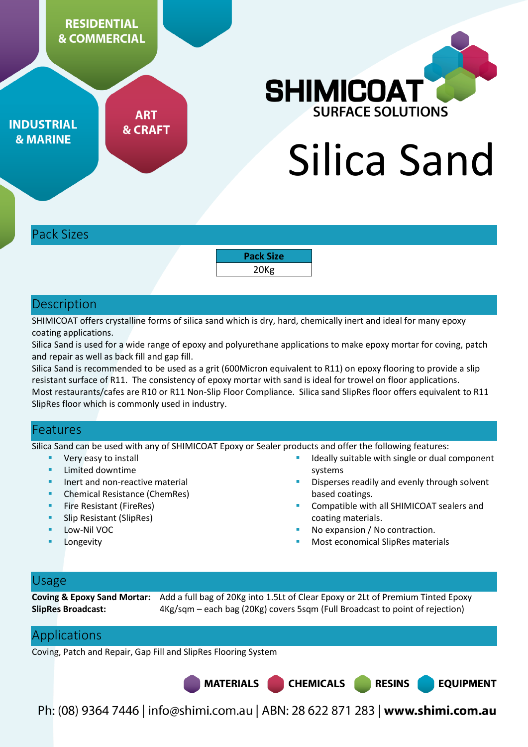**RESIDENTIAL & COMMERCIAL** 

**ART** 

**& CRAFT** 

**SHIMICOAT** URFACE SOLUTIONS

Silica Sand

Pack Sizes

**INDUSTRIAL** 

**& MARINE** 

**Pack Size**  20Kg

### **Description**

SHIMICOAT offers crystalline forms of silica sand which is dry, hard, chemically inert and ideal for many epoxy coating applications.

Silica Sand is used for a wide range of epoxy and polyurethane applications to make epoxy mortar for coving, patch and repair as well as back fill and gap fill.

Silica Sand is recommended to be used as a grit (600Micron equivalent to R11) on epoxy flooring to provide a slip resistant surface of R11. The consistency of epoxy mortar with sand is ideal for trowel on floor applications. Most restaurants/cafes are R10 or R11 Non-Slip Floor Compliance. Silica sand SlipRes floor offers equivalent to R11 SlipRes floor which is commonly used in industry.

### Features

Silica Sand can be used with any of SHIMICOAT Epoxy or Sealer products and offer the following features:

- Very easy to install
- **Limited downtime**
- Inert and non-reactive material
- **•** Chemical Resistance (ChemRes)
- **Fire Resistant (FireRes)**
- Slip Resistant (SlipRes)
- Low-Nil VOC
- Longevity
- Ideally suitable with single or dual component systems
- Disperses readily and evenly through solvent based coatings.
- Compatible with all SHIMICOAT sealers and coating materials.

**RESINS** 

**EQUIPMENT** 

- No expansion / No contraction.
- Most economical SlipRes materials

### Usage

**Coving & Epoxy Sand Mortar:** Add a full bag of 20Kg into 1.5Lt of Clear Epoxy or 2Lt of Premium Tinted Epoxy **SlipRes Broadcast:** 4Kg/sqm – each bag (20Kg) covers 5sqm (Full Broadcast to point of rejection)

### Applications

Coving, Patch and Repair, Gap Fill and SlipRes Flooring System

**MATERIALS** 

Ph: (08) 9364 7446 | info@shimi.com.au | ABN: 28 622 871 283 | www.shimi.com.au

**CHEMICALS**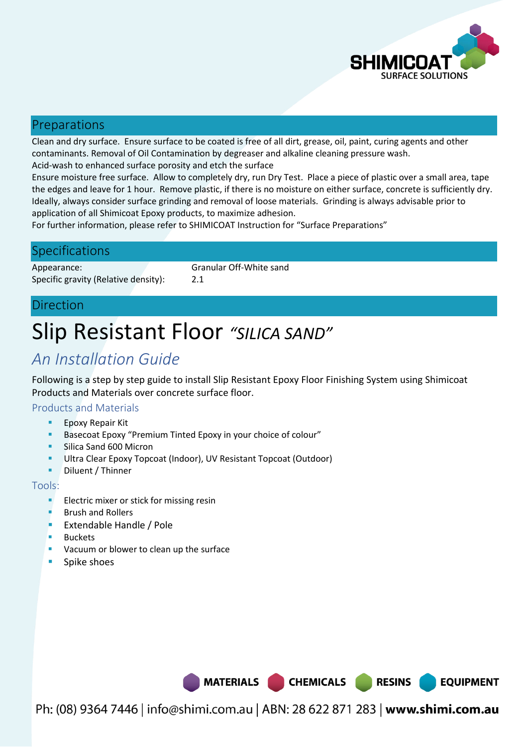

**EQUIPMENT** 

### Preparations

Clean and dry surface. Ensure surface to be coated is free of all dirt, grease, oil, paint, curing agents and other contaminants. Removal of Oil Contamination by degreaser and alkaline cleaning pressure wash. Acid-wash to enhanced surface porosity and etch the surface

Ensure moisture free surface. Allow to completely dry, run Dry Test. Place a piece of plastic over a small area, tape the edges and leave for 1 hour. Remove plastic, if there is no moisture on either surface, concrete is sufficiently dry. Ideally, always consider surface grinding and removal of loose materials. Grinding is always advisable prior to application of all Shimicoat Epoxy products, to maximize adhesion.

For further information, please refer to SHIMICOAT Instruction for "Surface Preparations"

### **Specifications**

Appearance: Granular Off-White sand Specific gravity (Relative density): 2.1

### Direction

# Slip Resistant Floor *"SILICA SAND"*

## *An Installation Guide*

Following is a step by step guide to install Slip Resistant Epoxy Floor Finishing System using Shimicoat Products and Materials over concrete surface floor.

#### Products and Materials

- Epoxy Repair Kit
- **Basecoat Epoxy "Premium Tinted Epoxy in your choice of colour"**
- Silica Sand 600 Micron
- Ultra Clear Epoxy Topcoat (Indoor), UV Resistant Topcoat (Outdoor)
- **Diluent / Thinner**

#### Tools:

- **ELECTRIC MIXEL OF STARK** FOR MISSING **FIGURE**
- Brush and Rollers
- **Extendable Handle / Pole**
- **Buckets**
- **Vacuum or blower to clean up the surface**
- **Spike shoes**

MATERIALS CHEMICALS RESINS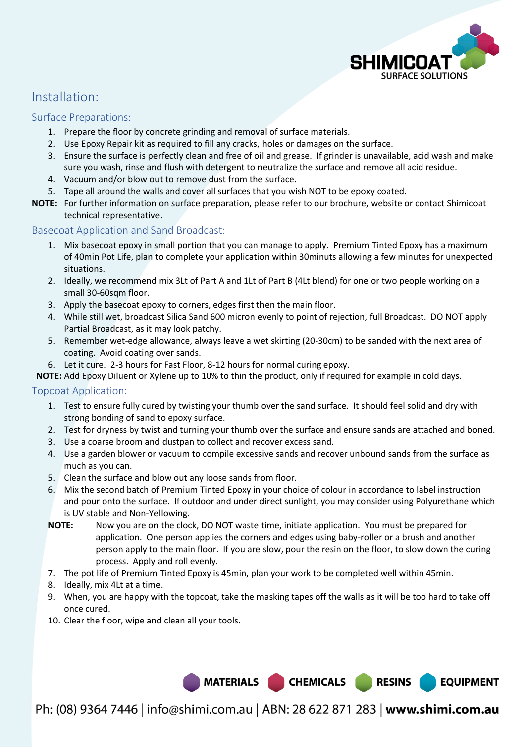

**EQUIPMENT** 

### Installation:

#### Surface Preparations:

- 1. Prepare the floor by concrete grinding and removal of surface materials.
- 2. Use Epoxy Repair kit as required to fill any cracks, holes or damages on the surface.
- 3. Ensure the surface is perfectly clean and free of oil and grease. If grinder is unavailable, acid wash and make sure you wash, rinse and flush with detergent to neutralize the surface and remove all acid residue.
- 4. Vacuum and/or blow out to remove dust from the surface.
- 5. Tape all around the walls and cover all surfaces that you wish NOT to be epoxy coated.
- **NOTE:** For further information on surface preparation, please refer to our brochure, website or contact Shimicoat technical representative.

#### Basecoat Application and Sand Broadcast:

- 1. Mix basecoat epoxy in small portion that you can manage to apply. Premium Tinted Epoxy has a maximum of 40min Pot Life, plan to complete your application within 30minuts allowing a few minutes for unexpected situations.
- 2. Ideally, we recommend mix 3Lt of Part A and 1Lt of Part B (4Lt blend) for one or two people working on a small 30-60sqm floor.
- 3. Apply the basecoat epoxy to corners, edges first then the main floor.
- 4. While still wet, broadcast Silica Sand 600 micron evenly to point of rejection, full Broadcast. DO NOT apply Partial Broadcast, as it may look patchy.
- 5. Remember wet-edge allowance, always leave a wet skirting (20-30cm) to be sanded with the next area of coating. Avoid coating over sands.
- 6. Let it cure. 2-3 hours for Fast Floor, 8-12 hours for normal curing epoxy.

**NOTE:** Add Epoxy Diluent or Xylene up to 10% to thin the product, only if required for example in cold days.

#### Topcoat Application:

- 1. Test to ensure fully cured by twisting your thumb over the sand surface. It should feel solid and dry with strong bonding of sand to epoxy surface.
- 2. Test for dryness by twist and turning your thumb over the surface and ensure sands are attached and boned.
- 3. Use a coarse broom and dustpan to collect and recover excess sand.
- 4. Use a garden blower or vacuum to compile excessive sands and recover unbound sands from the surface as much as you can.
- 5. Clean the surface and blow out any loose sands from floor.
- 6. Mix the second batch of Premium Tinted Epoxy in your choice of colour in accordance to label instruction and pour onto the surface. If outdoor and under direct sunlight, you may consider using Polyurethane which is UV stable and Non-Yellowing.
- **NOTE:** Now you are on the clock, DO NOT waste time, initiate application. You must be prepared for application. One person applies the corners and edges using baby-roller or a brush and another person apply to the main floor. If you are slow, pour the resin on the floor, to slow down the curing process. Apply and roll evenly.
- 7. The pot life of Premium Tinted Epoxy is 45min, plan your work to be completed well within 45min.
- 8. Ideally, mix 4Lt at a time.
- 9. When, you are happy with the topcoat, take the masking tapes off the walls as it will be too hard to take off once cured.
- 10. Clear the floor, wipe and clean all your tools.

MATERIALS CHEMICALS RESINS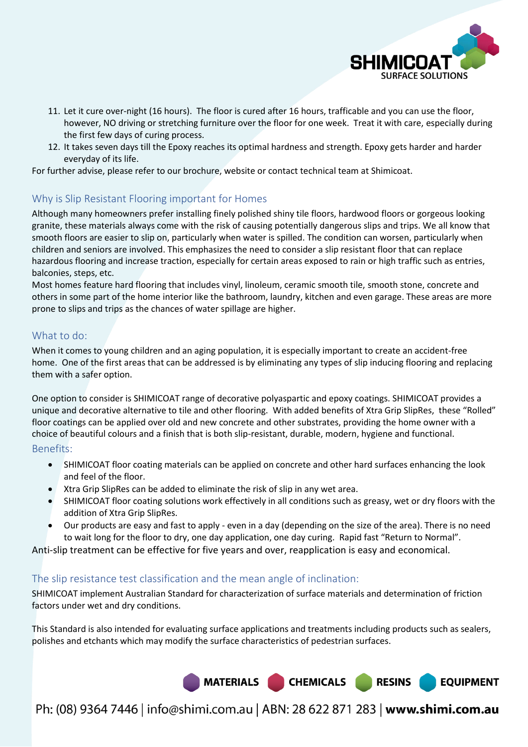

- 11. Let it cure over-night (16 hours). The floor is cured after 16 hours, trafficable and you can use the floor, however, NO driving or stretching furniture over the floor for one week. Treat it with care, especially during the first few days of curing process.
- 12. It takes seven days till the Epoxy reaches its optimal hardness and strength. Epoxy gets harder and harder everyday of its life.

For further advise, please refer to our brochure, website or contact technical team at Shimicoat.

### Why is Slip Resistant Flooring important for Homes

Although many homeowners prefer installing finely polished shiny tile floors, hardwood floors or gorgeous looking granite, these materials always come with the risk of causing potentially dangerous slips and trips. We all know that smooth floors are easier to slip on, particularly when water is spilled. The condition can worsen, particularly when children and seniors are involved. This emphasizes the need to consider a slip resistant floor that can replace hazardous flooring and increase traction, especially for certain areas exposed to rain or high traffic such as entries, balconies, steps, etc.

Most homes feature hard flooring that includes vinyl, linoleum, ceramic smooth tile, smooth stone, concrete and others in some part of the home interior like the bathroom, laundry, kitchen and even garage. These areas are more prone to slips and trips as the chances of water spillage are higher.

#### What to do:

When it comes to young children and an aging population, it is especially important to create an accident-free home. One of the first areas that can be addressed is by eliminating any types of slip inducing flooring and replacing them with a safer option.

One option to consider is SHIMICOAT range of decorative polyaspartic and epoxy coatings. SHIMICOAT provides a unique and decorative alternative to tile and other flooring. With added benefits of Xtra Grip SlipRes, these "Rolled" floor coatings can be applied over old and new concrete and other substrates, providing the home owner with a choice of beautiful colours and a finish that is both slip-resistant, durable, modern, hygiene and functional.

Benefits:

- SHIMICOAT floor coating materials can be applied on concrete and other hard surfaces enhancing the look and feel of the floor.
- Xtra Grip SlipRes can be added to eliminate the risk of slip in any wet area.
- SHIMICOAT floor coating solutions work effectively in all conditions such as greasy, wet or dry floors with the addition of Xtra Grip SlipRes.
- Our products are easy and fast to apply even in a day (depending on the size of the area). There is no need to wait long for the floor to dry, one day application, one day curing. Rapid fast "Return to Normal".

Anti-slip treatment can be effective for five years and over, reapplication is easy and economical.

#### The slip resistance test classification and the mean angle of inclination:

SHIMICOAT implement Australian Standard for characterization of surface materials and determination of friction factors under wet and dry conditions.

This Standard is also intended for evaluating surface applications and treatments including products such as sealers, polishes and etchants which may modify the surface characteristics of pedestrian surfaces.